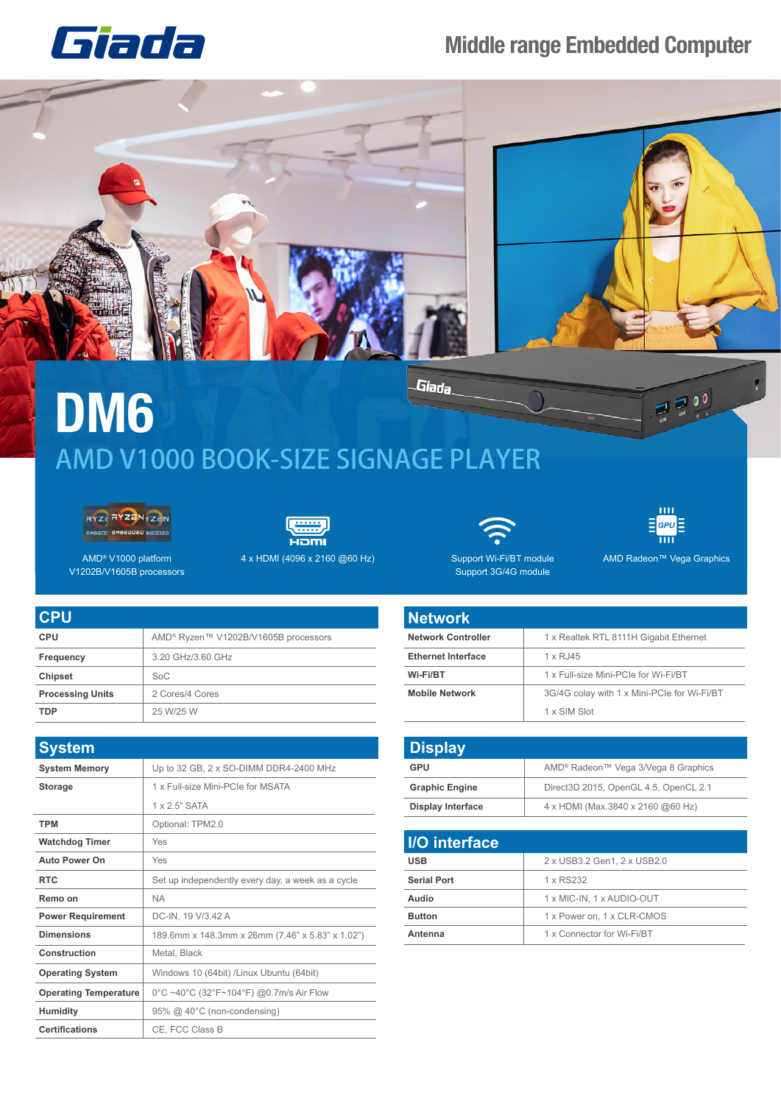## **Middle range Embedded Computer**





Giada **DM6** AMD V1000 BOOK-SIZE SIGNAGE PLAYER





4 x HDMI (4096 x 2160 @60 Hz) AMD Radeon™ Vega Graphics

Support Wi-Fi/BT module Support 3G/4G module

 $E$ <sub>GPU</sub> $E$ Ш

ш

 $\equiv 0$ <sup>0</sup>

AMD® V1000 platform V1202B/V1605B processors

| <b>CPU</b>              |                                                  |
|-------------------------|--------------------------------------------------|
| <b>CPU</b>              | AMD <sup>®</sup> Ryzen™ V1202B/V1605B processors |
| Frequency               | 3.20 GHz/3.60 GHz                                |
| <b>Chipset</b>          | SoC                                              |
| <b>Processing Units</b> | 2 Cores/4 Cores                                  |
| <b>TDP</b>              | 25 W/25 W                                        |
|                         |                                                  |

| <b>System</b>                |                                                   |
|------------------------------|---------------------------------------------------|
| <b>System Memory</b>         | Up to 32 GB, 2 x SO-DIMM DDR4-2400 MHz            |
| <b>Storage</b>               | 1 x Full-size Mini-PCIe for MSATA                 |
|                              | $1 \times 2.5$ " SATA                             |
| <b>TPM</b>                   | Optional: TPM2.0                                  |
| <b>Watchdog Timer</b>        | Yes                                               |
| <b>Auto Power On</b>         | Yes                                               |
| <b>RTC</b>                   | Set up independently every day, a week as a cycle |
| Remo on                      | <b>NA</b>                                         |
| <b>Power Requirement</b>     | DC-IN, 19 V/3.42 A                                |
| <b>Dimensions</b>            | 189.6mm x 148.3mm x 26mm (7.46" x 5.83" x 1.02")  |
| Construction                 | Metal, Black                                      |
| <b>Operating System</b>      | Windows 10 (64bit) /Linux Ubuntu (64bit)          |
| <b>Operating Temperature</b> | 0°C ~40°C (32°F~104°F) @0.7m/s Air Flow           |
| <b>Humidity</b>              | 95% @ 40°C (non-condensing)                       |
| <b>Certifications</b>        | CE. FCC Class B                                   |

| <b>Network</b>            |                                             |
|---------------------------|---------------------------------------------|
| <b>Network Controller</b> | 1 x Realtek RTL 8111H Gigabit Ethernet      |
| <b>Ethernet Interface</b> | 1 x RJ45                                    |
| Wi-Fi/BT                  | 1 x Full-size Mini-PCIe for Wi-Fi/BT        |
| <b>Mobile Network</b>     | 3G/4G colay with 1 x Mini-PCIe for Wi-Fi/BT |
|                           | 1 x SIM Slot                                |

| <b>Display</b>           |                                                 |
|--------------------------|-------------------------------------------------|
| GPU                      | AMD <sup>®</sup> Radeon™ Vega 3/Vega 8 Graphics |
| <b>Graphic Engine</b>    | Direct3D 2015, OpenGL 4.5, OpenCL 2.1           |
| <b>Display Interface</b> | 4 x HDMI (Max.3840 x 2160 @60 Hz)               |

| I/O interface      |                             |
|--------------------|-----------------------------|
| <b>USB</b>         | 2 x USB3.2 Gen1, 2 x USB2.0 |
| <b>Serial Port</b> | 1 x RS232                   |
| Audio              | 1 x MIC-IN, 1 x AUDIO-OUT   |
| <b>Button</b>      | 1 x Power on, 1 x CLR-CMOS  |
| Antenna            | 1 x Connector for Wi-Fi/BT  |